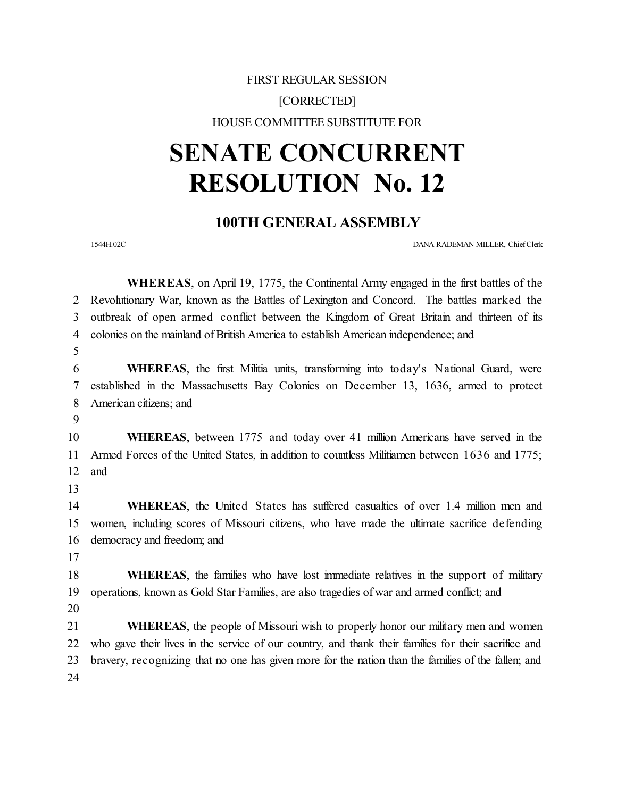## FIRST REGULAR SESSION [CORRECTED] HOUSE COMMITTEE SUBSTITUTE FOR

## **SENATE CONCURRENT RESOLUTION No. 12**

## **100TH GENERAL ASSEMBLY**

1544H.02C DANA RADEMAN MILLER, ChiefClerk

|    | <b>WHEREAS</b> , on April 19, 1775, the Continental Army engaged in the first battles of the         |
|----|------------------------------------------------------------------------------------------------------|
| 2  | Revolutionary War, known as the Battles of Lexington and Concord. The battles marked the             |
| 3  | outbreak of open armed conflict between the Kingdom of Great Britain and thirteen of its             |
| 4  | colonies on the mainland of British America to establish American independence; and                  |
| 5  |                                                                                                      |
| 6  | WHEREAS, the first Militia units, transforming into today's National Guard, were                     |
| 7  | established in the Massachusetts Bay Colonies on December 13, 1636, armed to protect                 |
| 8  | American citizens; and                                                                               |
| 9  |                                                                                                      |
| 10 | <b>WHEREAS</b> , between 1775 and today over 41 million Americans have served in the                 |
| 11 | Armed Forces of the United States, in addition to countless Militiamen between 1636 and 1775;        |
| 12 | and                                                                                                  |
| 13 |                                                                                                      |
| 14 | <b>WHEREAS</b> , the United States has suffered casualties of over 1.4 million men and               |
| 15 | women, including scores of Missouri citizens, who have made the ultimate sacrifice defending         |
| 16 | democracy and freedom; and                                                                           |
| 17 |                                                                                                      |
| 18 | <b>WHEREAS</b> , the families who have lost immediate relatives in the support of military           |
| 19 | operations, known as Gold Star Families, are also tragedies of war and armed conflict; and           |
| 20 |                                                                                                      |
| 21 | WHEREAS, the people of Missouri wish to properly honor our military men and women                    |
| 22 | who gave their lives in the service of our country, and thank their families for their sacrifice and |
| 23 | bravery, recognizing that no one has given more for the nation than the families of the fallen; and  |
| 24 |                                                                                                      |